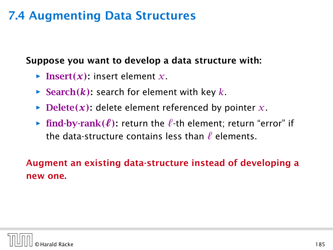Suppose you want to develop a data structure with:

- $\blacktriangleright$  Insert $(x)$ : insert element *x*.
- $\blacktriangleright$  Search*(k)*: search for element with key *k*.
- $\blacktriangleright$  Delete(x): delete element referenced by pointer *x*.
- **Find-by-rank** $(\ell)$ : return the  $\ell$ -th element; return "error" if the data-structure contains less than  $\ell$  elements.

## Augment an existing data-structure instead of developing a new one.

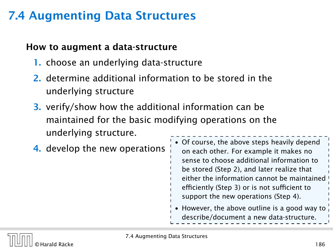### How to augment a data-structure

- 1. choose an underlying data-structure
- 2. determine additional information to be stored in the underlying structure
- 3. verify/show how the additional information can be maintained for the basic modifying operations on the underlying structure.
- 4. develop the new operations • Of course, the above steps heavily depend on each other. For example it makes no sense to choose additional information to be stored (Step 2), and later realize that either the information cannot be maintained efficiently (Step 3) or is not sufficient to support the new operations (Step 4). • However, the above outline is a good way to describe/document a new data-structure.

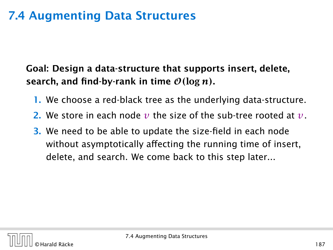## Goal: Design a data-structure that supports insert, delete, search, and find-by-rank in time  $\mathcal{O}(\log n)$ .

- 1. We choose a red-black tree as the underlying data-structure.
- 2. We store in each node *v* the size of the sub-tree rooted at *v*.
- 3. We need to be able to update the size-field in each node without asymptotically affecting the running time of insert, delete, and search. We come back to this step later...

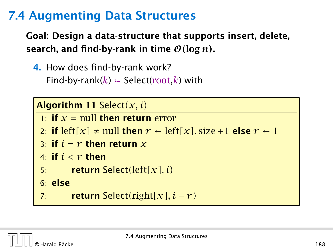Goal: Design a data-structure that supports insert, delete, search, and find-by-rank in time  $\mathcal{O}(\log n)$ .

4. How does find-by-rank work?

Find-by-rank( $k$ ) = Select(root, $k$ ) with

Algorithm 11 Select*(x, i)* 1: **if**  $x =$  null then return error 2: **if** left[x]  $\neq$  null **then**  $r \leftarrow$  left[x]. size +1 **else**  $r \leftarrow 1$ 3: if  $i = r$  then return  $x$ 4: if  $i < r$  then 5: return Select*(*left*[x], i)* 6: else 7: return Select*(*right*[x], i* − *r )*

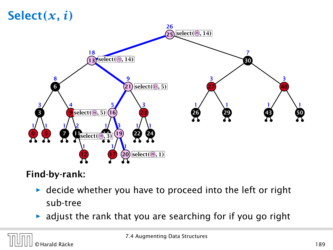# Select*(x, i)*



## Find-by-rank:

- **decide whether you have to proceed into the left or right** sub-tree
- $\triangleright$  adjust the rank that you are searching for if you go right

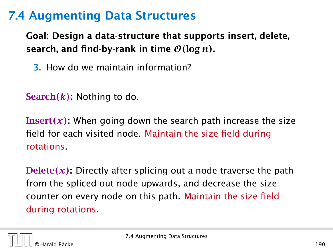Goal: Design a data-structure that supports insert, delete, search, and find-by-rank in time  $\mathcal{O}(\log n)$ .

3. How do we maintain information?

Search*(k)*: Nothing to do.

**Insert** $(x)$ : When going down the search path increase the size field for each visited node. Maintain the size field during rotations.

Delete*(x)*: Directly after splicing out a node traverse the path from the spliced out node upwards, and decrease the size counter on every node on this path. Maintain the size field during rotations.

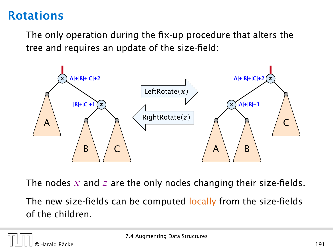## Rotations

The only operation during the fix-up procedure that alters the tree and requires an update of the size-field:



The nodes *x* and *z* are the only nodes changing their size-fields.

The new size-fields can be computed locally from the size-fields of the children.